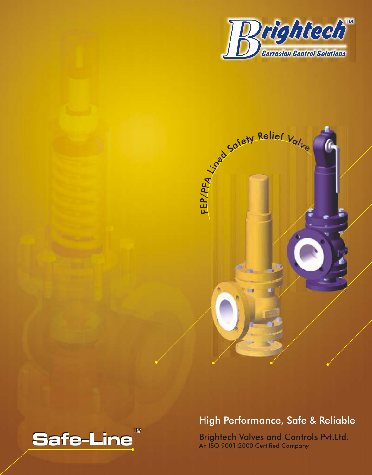





# High Performance, Safe & Reliable

Brightech Valves and Controls Pvt.Ltd. An ISO 9001:2000 Certified Company